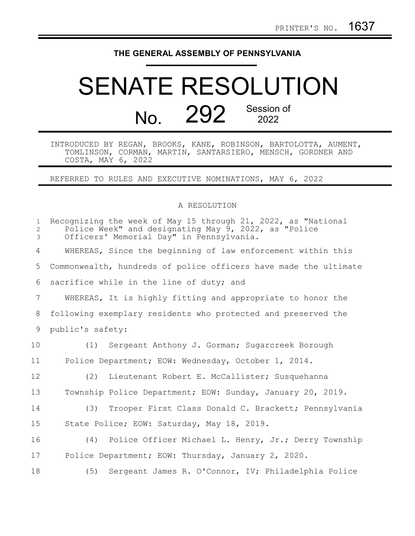## **THE GENERAL ASSEMBLY OF PENNSYLVANIA**

## SENATE RESOLUTION No. 292 Session of 2022

INTRODUCED BY REGAN, BROOKS, KANE, ROBINSON, BARTOLOTTA, AUMENT, TOMLINSON, CORMAN, MARTIN, SANTARSIERO, MENSCH, GORDNER AND COSTA, MAY 6, 2022

REFERRED TO RULES AND EXECUTIVE NOMINATIONS, MAY 6, 2022

## A RESOLUTION

| $\mathbf{1}$<br>$\overline{2}$<br>$\mathcal{E}$ | Recognizing the week of May 15 through 21, 2022, as "National<br>Police Week" and designating May 9, 2022, as "Police<br>Officers' Memorial Day" in Pennsylvania. |
|-------------------------------------------------|-------------------------------------------------------------------------------------------------------------------------------------------------------------------|
| 4                                               | WHEREAS, Since the beginning of law enforcement within this                                                                                                       |
| 5                                               | Commonwealth, hundreds of police officers have made the ultimate                                                                                                  |
| 6                                               | sacrifice while in the line of duty; and                                                                                                                          |
| $\overline{7}$                                  | WHEREAS, It is highly fitting and appropriate to honor the                                                                                                        |
| 8                                               | following exemplary residents who protected and preserved the                                                                                                     |
| 9                                               | public's safety:                                                                                                                                                  |
| 10                                              | (1) Sergeant Anthony J. Gorman; Sugarcreek Borough                                                                                                                |
| 11                                              | Police Department; EOW: Wednesday, October 1, 2014.                                                                                                               |
| 12                                              | (2) Lieutenant Robert E. McCallister; Susquehanna                                                                                                                 |
| 13                                              | Township Police Department; EOW: Sunday, January 20, 2019.                                                                                                        |
| 14                                              | Trooper First Class Donald C. Brackett; Pennsylvania<br>(3)                                                                                                       |
| 15                                              | State Police; EOW: Saturday, May 18, 2019.                                                                                                                        |
| 16                                              | (4) Police Officer Michael L. Henry, Jr.; Derry Township                                                                                                          |
| 17                                              | Police Department; EOW: Thursday, January 2, 2020.                                                                                                                |
| 18                                              | (5) Sergeant James R. O'Connor, IV; Philadelphia Police                                                                                                           |
|                                                 |                                                                                                                                                                   |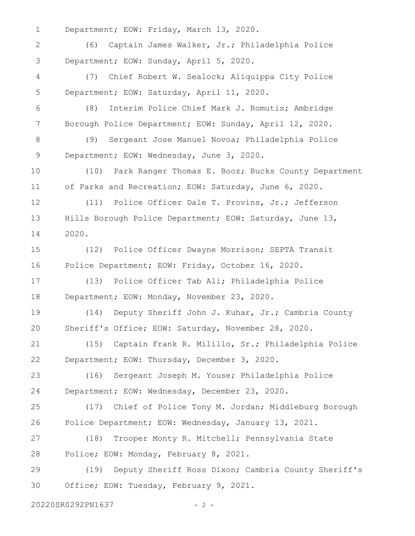Department; EOW: Friday, March 13, 2020. 1

(6) Captain James Walker, Jr.; Philadelphia Police Department; EOW: Sunday, April 5, 2020. 2 3

(7) Chief Robert W. Sealock; Aliquippa City Police Department; EOW: Saturday, April 11, 2020. 4 5

6

(8) Interim Police Chief Mark J. Romutis; Ambridge Borough Police Department; EOW: Sunday, April 12, 2020. 7

(9) Sergeant Jose Manuel Novoa; Philadelphia Police Department; EOW: Wednesday, June 3, 2020. 8 9

(10) Park Ranger Thomas E. Booz; Bucks County Department of Parks and Recreation; EOW: Saturday, June 6, 2020. 10 11

(11) Police Officer Dale T. Provins, Jr.; Jefferson Hills Borough Police Department; EOW: Saturday, June 13, 2020. 12 13 14

(12) Police Officer Dwayne Morrison; SEPTA Transit Police Department; EOW: Friday, October 16, 2020. 15 16

(13) Police Officer Tab Ali; Philadelphia Police Department; EOW: Monday, November 23, 2020. 17 18

(14) Deputy Sheriff John J. Kuhar, Jr.; Cambria County Sheriff's Office; EOW: Saturday, November 28, 2020. 19 20

(15) Captain Frank R. Milillo, Sr.; Philadelphia Police Department; EOW: Thursday, December 3, 2020. 21 22

(16) Sergeant Joseph M. Youse; Philadelphia Police Department; EOW: Wednesday, December 23, 2020. 23 24

(17) Chief of Police Tony M. Jordan; Middleburg Borough Police Department; EOW: Wednesday, January 13, 2021. 25 26

(18) Trooper Monty R. Mitchell; Pennsylvania State Police; EOW: Monday, February 8, 2021. 27 28

(19) Deputy Sheriff Ross Dixon; Cambria County Sheriff's Office; EOW: Tuesday, February 9, 2021. 29 30

20220SR0292PN1637 - 2 -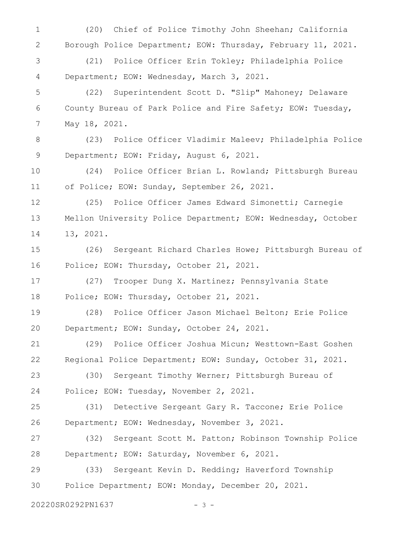(20) Chief of Police Timothy John Sheehan; California Borough Police Department; EOW: Thursday, February 11, 2021. (21) Police Officer Erin Tokley; Philadelphia Police Department; EOW: Wednesday, March 3, 2021. (22) Superintendent Scott D. "Slip" Mahoney; Delaware County Bureau of Park Police and Fire Safety; EOW: Tuesday, May 18, 2021. 1 2 3 4 5 6 7

(23) Police Officer Vladimir Maleev; Philadelphia Police Department; EOW: Friday, August 6, 2021. 8 9

(24) Police Officer Brian L. Rowland; Pittsburgh Bureau of Police; EOW: Sunday, September 26, 2021. 10 11

(25) Police Officer James Edward Simonetti; Carnegie Mellon University Police Department; EOW: Wednesday, October 13, 2021. 12 13 14

(26) Sergeant Richard Charles Howe; Pittsburgh Bureau of Police; EOW: Thursday, October 21, 2021. 15 16

(27) Trooper Dung X. Martinez; Pennsylvania State Police; EOW: Thursday, October 21, 2021. 17 18

(28) Police Officer Jason Michael Belton; Erie Police Department; EOW: Sunday, October 24, 2021. 19 20

(29) Police Officer Joshua Micun; Westtown-East Goshen Regional Police Department; EOW: Sunday, October 31, 2021. 21 22

(30) Sergeant Timothy Werner; Pittsburgh Bureau of Police; EOW: Tuesday, November 2, 2021. 23 24

(31) Detective Sergeant Gary R. Taccone; Erie Police Department; EOW: Wednesday, November 3, 2021. 25 26

(32) Sergeant Scott M. Patton; Robinson Township Police Department; EOW: Saturday, November 6, 2021. 27 28

(33) Sergeant Kevin D. Redding; Haverford Township Police Department; EOW: Monday, December 20, 2021. 29 30

20220SR0292PN1637 - 3 -